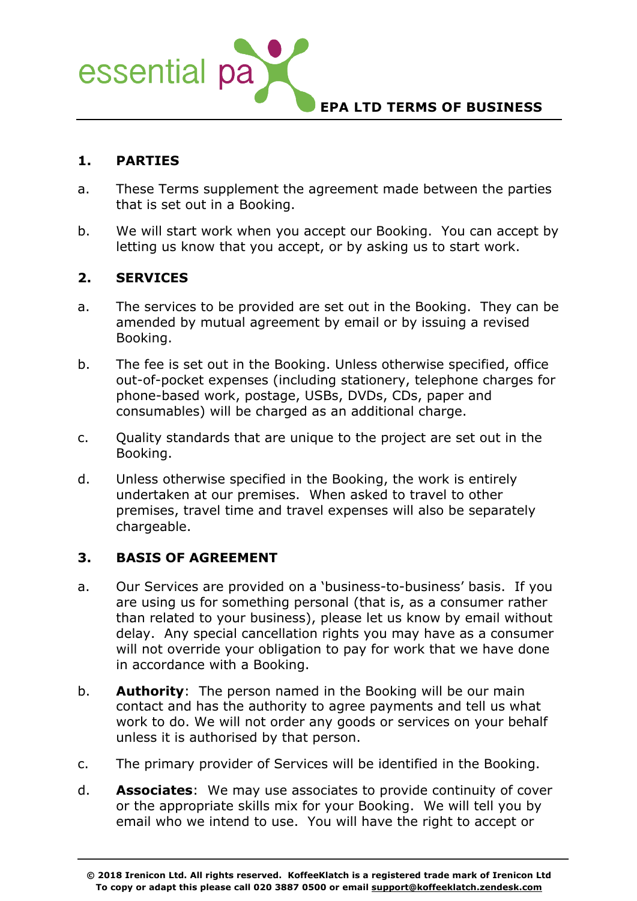

### **1. PARTIES**

- a. These Terms supplement the agreement made between the parties that is set out in a Booking.
- b. We will start work when you accept our Booking. You can accept by letting us know that you accept, or by asking us to start work.

### **2. SERVICES**

- a. The services to be provided are set out in the Booking. They can be amended by mutual agreement by email or by issuing a revised Booking.
- b. The fee is set out in the Booking. Unless otherwise specified, office out-of-pocket expenses (including stationery, telephone charges for phone-based work, postage, USBs, DVDs, CDs, paper and consumables) will be charged as an additional charge.
- c. Quality standards that are unique to the project are set out in the Booking.
- d. Unless otherwise specified in the Booking, the work is entirely undertaken at our premises. When asked to travel to other premises, travel time and travel expenses will also be separately chargeable.

### **3. BASIS OF AGREEMENT**

- a. Our Services are provided on a 'business-to-business' basis. If you are using us for something personal (that is, as a consumer rather than related to your business), please let us know by email without delay. Any special cancellation rights you may have as a consumer will not override your obligation to pay for work that we have done in accordance with a Booking.
- b. **Authority**: The person named in the Booking will be our main contact and has the authority to agree payments and tell us what work to do. We will not order any goods or services on your behalf unless it is authorised by that person.
- c. The primary provider of Services will be identified in the Booking.
- d. **Associates**: We may use associates to provide continuity of cover or the appropriate skills mix for your Booking. We will tell you by email who we intend to use. You will have the right to accept or

**<sup>© 2018</sup> Irenicon Ltd. All rights reserved. KoffeeKlatch is a registered trade mark of Irenicon Ltd To copy or adapt this please call 020 3887 0500 or email support@koffeeklatch.zendesk.com**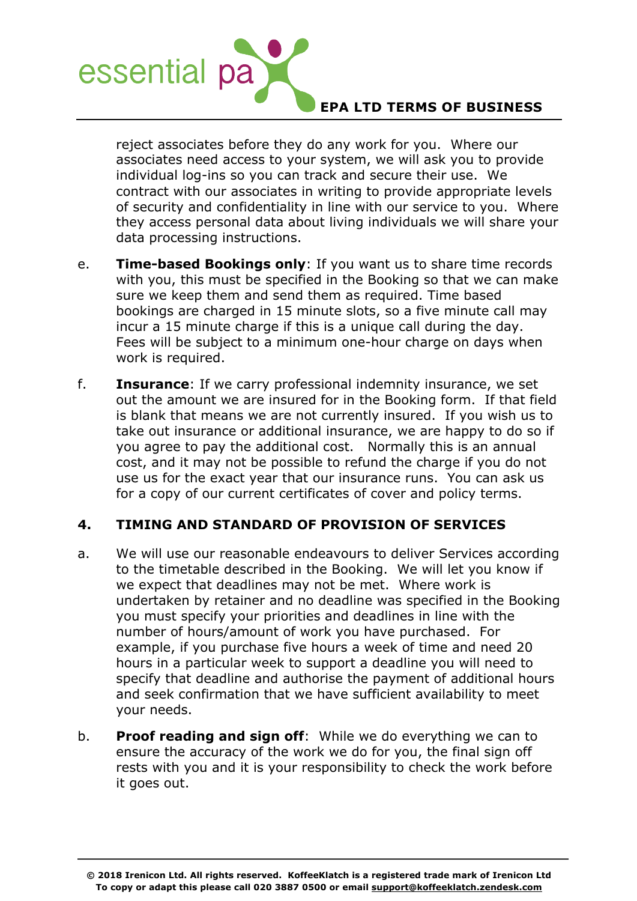

reject associates before they do any work for you. Where our associates need access to your system, we will ask you to provide individual log-ins so you can track and secure their use. We contract with our associates in writing to provide appropriate levels of security and confidentiality in line with our service to you. Where they access personal data about living individuals we will share your data processing instructions.

- e. **Time-based Bookings only**: If you want us to share time records with you, this must be specified in the Booking so that we can make sure we keep them and send them as required. Time based bookings are charged in 15 minute slots, so a five minute call may incur a 15 minute charge if this is a unique call during the day. Fees will be subject to a minimum one-hour charge on days when work is required.
- f. **Insurance**: If we carry professional indemnity insurance, we set out the amount we are insured for in the Booking form. If that field is blank that means we are not currently insured. If you wish us to take out insurance or additional insurance, we are happy to do so if you agree to pay the additional cost. Normally this is an annual cost, and it may not be possible to refund the charge if you do not use us for the exact year that our insurance runs. You can ask us for a copy of our current certificates of cover and policy terms.

# **4. TIMING AND STANDARD OF PROVISION OF SERVICES**

- a. We will use our reasonable endeavours to deliver Services according to the timetable described in the Booking. We will let you know if we expect that deadlines may not be met. Where work is undertaken by retainer and no deadline was specified in the Booking you must specify your priorities and deadlines in line with the number of hours/amount of work you have purchased. For example, if you purchase five hours a week of time and need 20 hours in a particular week to support a deadline you will need to specify that deadline and authorise the payment of additional hours and seek confirmation that we have sufficient availability to meet your needs.
- b. **Proof reading and sign off**: While we do everything we can to ensure the accuracy of the work we do for you, the final sign off rests with you and it is your responsibility to check the work before it goes out.

**<sup>© 2018</sup> Irenicon Ltd. All rights reserved. KoffeeKlatch is a registered trade mark of Irenicon Ltd To copy or adapt this please call 020 3887 0500 or email support@koffeeklatch.zendesk.com**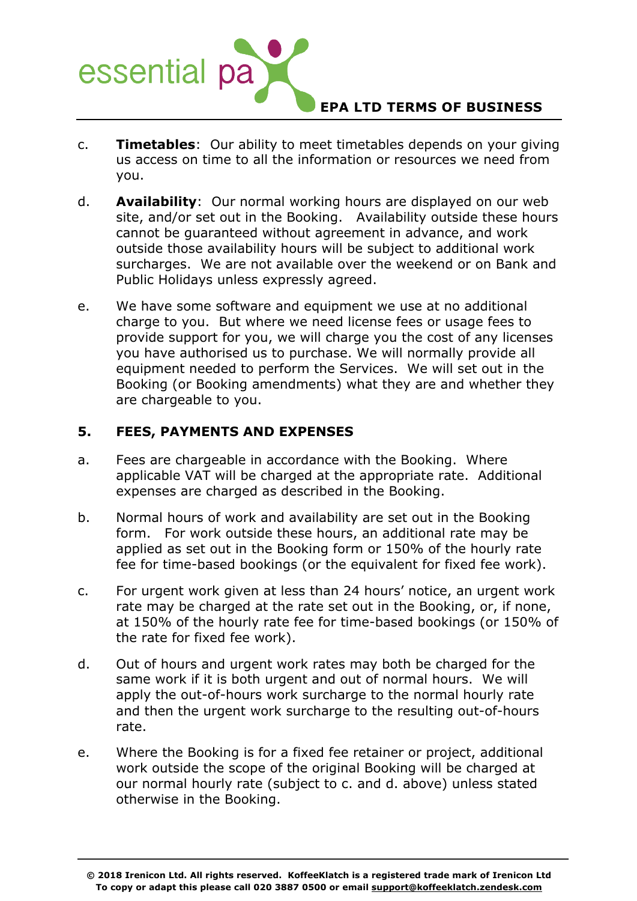

- c. **Timetables**: Our ability to meet timetables depends on your giving us access on time to all the information or resources we need from you.
- d. **Availability**: Our normal working hours are displayed on our web site, and/or set out in the Booking. Availability outside these hours cannot be guaranteed without agreement in advance, and work outside those availability hours will be subject to additional work surcharges. We are not available over the weekend or on Bank and Public Holidays unless expressly agreed.
- e. We have some software and equipment we use at no additional charge to you. But where we need license fees or usage fees to provide support for you, we will charge you the cost of any licenses you have authorised us to purchase. We will normally provide all equipment needed to perform the Services. We will set out in the Booking (or Booking amendments) what they are and whether they are chargeable to you.

### **5. FEES, PAYMENTS AND EXPENSES**

- a. Fees are chargeable in accordance with the Booking. Where applicable VAT will be charged at the appropriate rate. Additional expenses are charged as described in the Booking.
- b. Normal hours of work and availability are set out in the Booking form. For work outside these hours, an additional rate may be applied as set out in the Booking form or 150% of the hourly rate fee for time-based bookings (or the equivalent for fixed fee work).
- c. For urgent work given at less than 24 hours' notice, an urgent work rate may be charged at the rate set out in the Booking, or, if none, at 150% of the hourly rate fee for time-based bookings (or 150% of the rate for fixed fee work).
- d. Out of hours and urgent work rates may both be charged for the same work if it is both urgent and out of normal hours. We will apply the out-of-hours work surcharge to the normal hourly rate and then the urgent work surcharge to the resulting out-of-hours rate.
- e. Where the Booking is for a fixed fee retainer or project, additional work outside the scope of the original Booking will be charged at our normal hourly rate (subject to c. and d. above) unless stated otherwise in the Booking.

**<sup>© 2018</sup> Irenicon Ltd. All rights reserved. KoffeeKlatch is a registered trade mark of Irenicon Ltd To copy or adapt this please call 020 3887 0500 or email support@koffeeklatch.zendesk.com**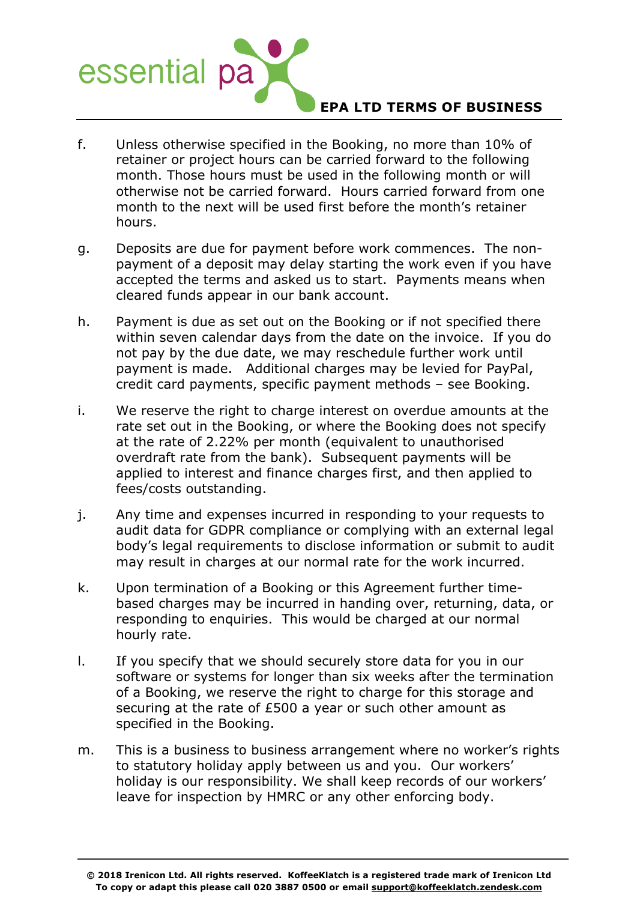

- f. Unless otherwise specified in the Booking, no more than 10% of retainer or project hours can be carried forward to the following month. Those hours must be used in the following month or will otherwise not be carried forward. Hours carried forward from one month to the next will be used first before the month's retainer hours.
- g. Deposits are due for payment before work commences. The nonpayment of a deposit may delay starting the work even if you have accepted the terms and asked us to start. Payments means when cleared funds appear in our bank account.
- h. Payment is due as set out on the Booking or if not specified there within seven calendar days from the date on the invoice. If you do not pay by the due date, we may reschedule further work until payment is made. Additional charges may be levied for PayPal, credit card payments, specific payment methods – see Booking.
- i. We reserve the right to charge interest on overdue amounts at the rate set out in the Booking, or where the Booking does not specify at the rate of 2.22% per month (equivalent to unauthorised overdraft rate from the bank). Subsequent payments will be applied to interest and finance charges first, and then applied to fees/costs outstanding.
- j. Any time and expenses incurred in responding to your requests to audit data for GDPR compliance or complying with an external legal body's legal requirements to disclose information or submit to audit may result in charges at our normal rate for the work incurred.
- k. Upon termination of a Booking or this Agreement further timebased charges may be incurred in handing over, returning, data, or responding to enquiries. This would be charged at our normal hourly rate.
- l. If you specify that we should securely store data for you in our software or systems for longer than six weeks after the termination of a Booking, we reserve the right to charge for this storage and securing at the rate of £500 a year or such other amount as specified in the Booking.
- m. This is a business to business arrangement where no worker's rights to statutory holiday apply between us and you. Our workers' holiday is our responsibility. We shall keep records of our workers' leave for inspection by HMRC or any other enforcing body.

**<sup>© 2018</sup> Irenicon Ltd. All rights reserved. KoffeeKlatch is a registered trade mark of Irenicon Ltd To copy or adapt this please call 020 3887 0500 or email support@koffeeklatch.zendesk.com**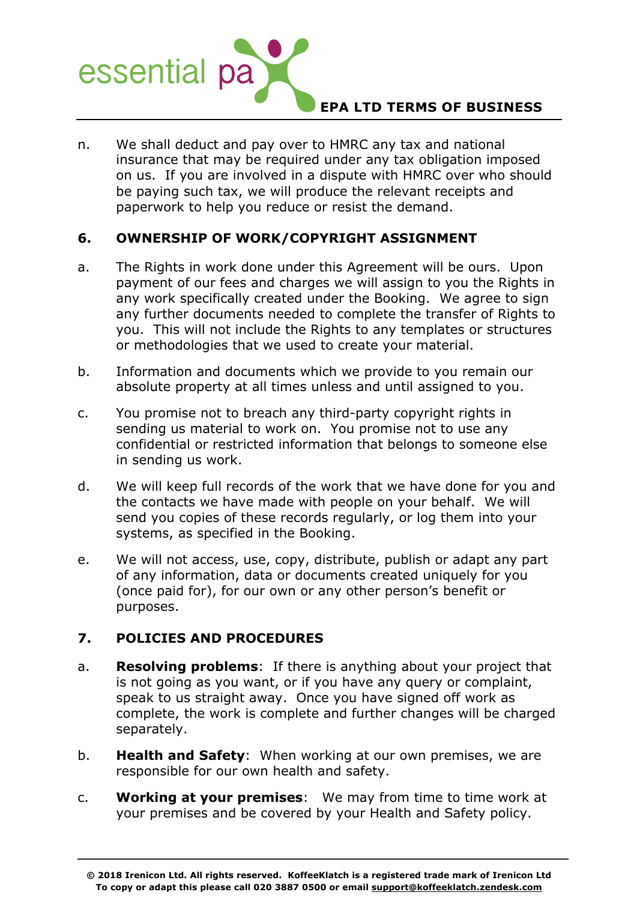

n. We shall deduct and pay over to HMRC any tax and national insurance that may be required under any tax obligation imposed on us. If you are involved in a dispute with HMRC over who should be paying such tax, we will produce the relevant receipts and paperwork to help you reduce or resist the demand.

### **6. OWNERSHIP OF WORK/COPYRIGHT ASSIGNMENT**

- a. The Rights in work done under this Agreement will be ours. Upon payment of our fees and charges we will assign to you the Rights in any work specifically created under the Booking. We agree to sign any further documents needed to complete the transfer of Rights to you. This will not include the Rights to any templates or structures or methodologies that we used to create your material.
- b. Information and documents which we provide to you remain our absolute property at all times unless and until assigned to you.
- c. You promise not to breach any third-party copyright rights in sending us material to work on. You promise not to use any confidential or restricted information that belongs to someone else in sending us work.
- d. We will keep full records of the work that we have done for you and the contacts we have made with people on your behalf. We will send you copies of these records regularly, or log them into your systems, as specified in the Booking.
- e. We will not access, use, copy, distribute, publish or adapt any part of any information, data or documents created uniquely for you (once paid for), for our own or any other person's benefit or purposes.

# **7. POLICIES AND PROCEDURES**

- a. **Resolving problems**: If there is anything about your project that is not going as you want, or if you have any query or complaint, speak to us straight away. Once you have signed off work as complete, the work is complete and further changes will be charged separately.
- b. **Health and Safety**: When working at our own premises, we are responsible for our own health and safety.
- c. **Working at your premises**: We may from time to time work at your premises and be covered by your Health and Safety policy.

**<sup>© 2018</sup> Irenicon Ltd. All rights reserved. KoffeeKlatch is a registered trade mark of Irenicon Ltd To copy or adapt this please call 020 3887 0500 or email support@koffeeklatch.zendesk.com**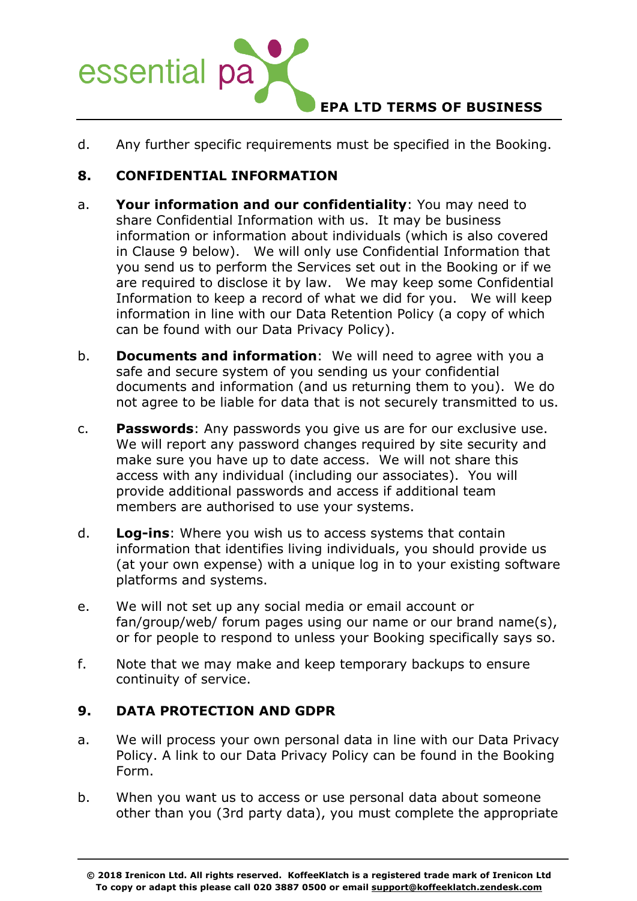

d. Any further specific requirements must be specified in the Booking.

# **8. CONFIDENTIAL INFORMATION**

- a. **Your information and our confidentiality**: You may need to share Confidential Information with us. It may be business information or information about individuals (which is also covered in Clause 9 below). We will only use Confidential Information that you send us to perform the Services set out in the Booking or if we are required to disclose it by law. We may keep some Confidential Information to keep a record of what we did for you. We will keep information in line with our Data Retention Policy (a copy of which can be found with our Data Privacy Policy).
- b. **Documents and information**: We will need to agree with you a safe and secure system of you sending us your confidential documents and information (and us returning them to you). We do not agree to be liable for data that is not securely transmitted to us.
- c. **Passwords**: Any passwords you give us are for our exclusive use. We will report any password changes required by site security and make sure you have up to date access. We will not share this access with any individual (including our associates). You will provide additional passwords and access if additional team members are authorised to use your systems.
- d. **Log-ins**: Where you wish us to access systems that contain information that identifies living individuals, you should provide us (at your own expense) with a unique log in to your existing software platforms and systems.
- e. We will not set up any social media or email account or fan/group/web/ forum pages using our name or our brand name(s), or for people to respond to unless your Booking specifically says so.
- f. Note that we may make and keep temporary backups to ensure continuity of service.

### **9. DATA PROTECTION AND GDPR**

- a. We will process your own personal data in line with our Data Privacy Policy. A link to our Data Privacy Policy can be found in the Booking Form.
- b. When you want us to access or use personal data about someone other than you (3rd party data), you must complete the appropriate

**<sup>© 2018</sup> Irenicon Ltd. All rights reserved. KoffeeKlatch is a registered trade mark of Irenicon Ltd To copy or adapt this please call 020 3887 0500 or email support@koffeeklatch.zendesk.com**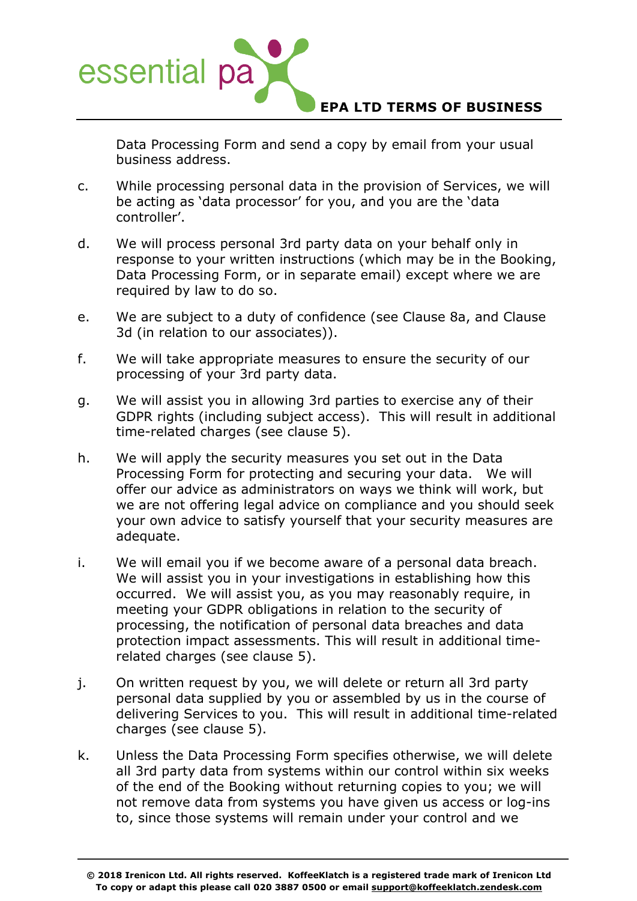

Data Processing Form and send a copy by email from your usual business address.

- c. While processing personal data in the provision of Services, we will be acting as 'data processor' for you, and you are the 'data controller'.
- d. We will process personal 3rd party data on your behalf only in response to your written instructions (which may be in the Booking, Data Processing Form, or in separate email) except where we are required by law to do so.
- e. We are subject to a duty of confidence (see Clause 8a, and Clause 3d (in relation to our associates)).
- f. We will take appropriate measures to ensure the security of our processing of your 3rd party data.
- g. We will assist you in allowing 3rd parties to exercise any of their GDPR rights (including subject access). This will result in additional time-related charges (see clause 5).
- h. We will apply the security measures you set out in the Data Processing Form for protecting and securing your data. We will offer our advice as administrators on ways we think will work, but we are not offering legal advice on compliance and you should seek your own advice to satisfy yourself that your security measures are adequate.
- i. We will email you if we become aware of a personal data breach. We will assist you in your investigations in establishing how this occurred. We will assist you, as you may reasonably require, in meeting your GDPR obligations in relation to the security of processing, the notification of personal data breaches and data protection impact assessments. This will result in additional timerelated charges (see clause 5).
- j. On written request by you, we will delete or return all 3rd party personal data supplied by you or assembled by us in the course of delivering Services to you. This will result in additional time-related charges (see clause 5).
- k. Unless the Data Processing Form specifies otherwise, we will delete all 3rd party data from systems within our control within six weeks of the end of the Booking without returning copies to you; we will not remove data from systems you have given us access or log-ins to, since those systems will remain under your control and we

**<sup>© 2018</sup> Irenicon Ltd. All rights reserved. KoffeeKlatch is a registered trade mark of Irenicon Ltd To copy or adapt this please call 020 3887 0500 or email support@koffeeklatch.zendesk.com**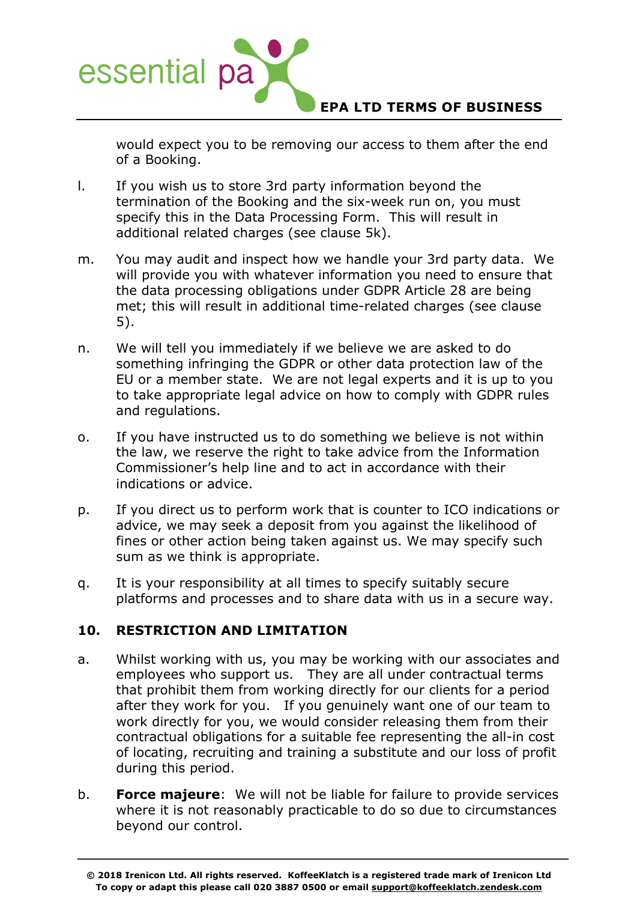

would expect you to be removing our access to them after the end of a Booking.

- l. If you wish us to store 3rd party information beyond the termination of the Booking and the six-week run on, you must specify this in the Data Processing Form. This will result in additional related charges (see clause 5k).
- m. You may audit and inspect how we handle your 3rd party data. We will provide you with whatever information you need to ensure that the data processing obligations under GDPR Article 28 are being met; this will result in additional time-related charges (see clause 5).
- n. We will tell you immediately if we believe we are asked to do something infringing the GDPR or other data protection law of the EU or a member state. We are not legal experts and it is up to you to take appropriate legal advice on how to comply with GDPR rules and regulations.
- o. If you have instructed us to do something we believe is not within the law, we reserve the right to take advice from the Information Commissioner's help line and to act in accordance with their indications or advice.
- p. If you direct us to perform work that is counter to ICO indications or advice, we may seek a deposit from you against the likelihood of fines or other action being taken against us. We may specify such sum as we think is appropriate.
- q. It is your responsibility at all times to specify suitably secure platforms and processes and to share data with us in a secure way.

# **10. RESTRICTION AND LIMITATION**

- a. Whilst working with us, you may be working with our associates and employees who support us. They are all under contractual terms that prohibit them from working directly for our clients for a period after they work for you. If you genuinely want one of our team to work directly for you, we would consider releasing them from their contractual obligations for a suitable fee representing the all-in cost of locating, recruiting and training a substitute and our loss of profit during this period.
- b. **Force majeure**: We will not be liable for failure to provide services where it is not reasonably practicable to do so due to circumstances beyond our control.

**<sup>© 2018</sup> Irenicon Ltd. All rights reserved. KoffeeKlatch is a registered trade mark of Irenicon Ltd To copy or adapt this please call 020 3887 0500 or email support@koffeeklatch.zendesk.com**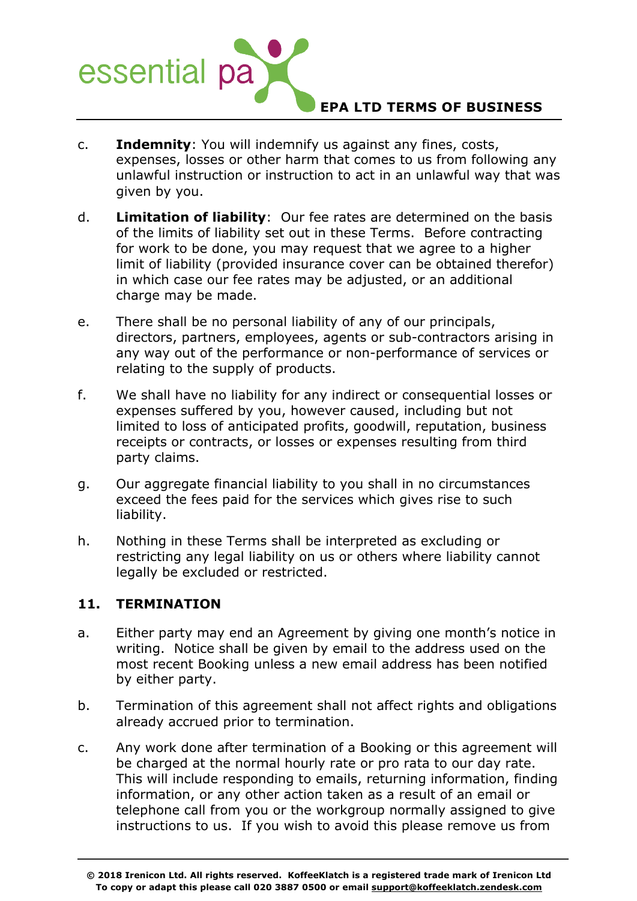

- c. **Indemnity**: You will indemnify us against any fines, costs, expenses, losses or other harm that comes to us from following any unlawful instruction or instruction to act in an unlawful way that was given by you.
- d. **Limitation of liability**: Our fee rates are determined on the basis of the limits of liability set out in these Terms. Before contracting for work to be done, you may request that we agree to a higher limit of liability (provided insurance cover can be obtained therefor) in which case our fee rates may be adjusted, or an additional charge may be made.
- e. There shall be no personal liability of any of our principals, directors, partners, employees, agents or sub-contractors arising in any way out of the performance or non-performance of services or relating to the supply of products.
- f. We shall have no liability for any indirect or consequential losses or expenses suffered by you, however caused, including but not limited to loss of anticipated profits, goodwill, reputation, business receipts or contracts, or losses or expenses resulting from third party claims.
- g. Our aggregate financial liability to you shall in no circumstances exceed the fees paid for the services which gives rise to such liability.
- h. Nothing in these Terms shall be interpreted as excluding or restricting any legal liability on us or others where liability cannot legally be excluded or restricted.

### **11. TERMINATION**

- a. Either party may end an Agreement by giving one month's notice in writing. Notice shall be given by email to the address used on the most recent Booking unless a new email address has been notified by either party.
- b. Termination of this agreement shall not affect rights and obligations already accrued prior to termination.
- c. Any work done after termination of a Booking or this agreement will be charged at the normal hourly rate or pro rata to our day rate. This will include responding to emails, returning information, finding information, or any other action taken as a result of an email or telephone call from you or the workgroup normally assigned to give instructions to us. If you wish to avoid this please remove us from

**<sup>© 2018</sup> Irenicon Ltd. All rights reserved. KoffeeKlatch is a registered trade mark of Irenicon Ltd To copy or adapt this please call 020 3887 0500 or email support@koffeeklatch.zendesk.com**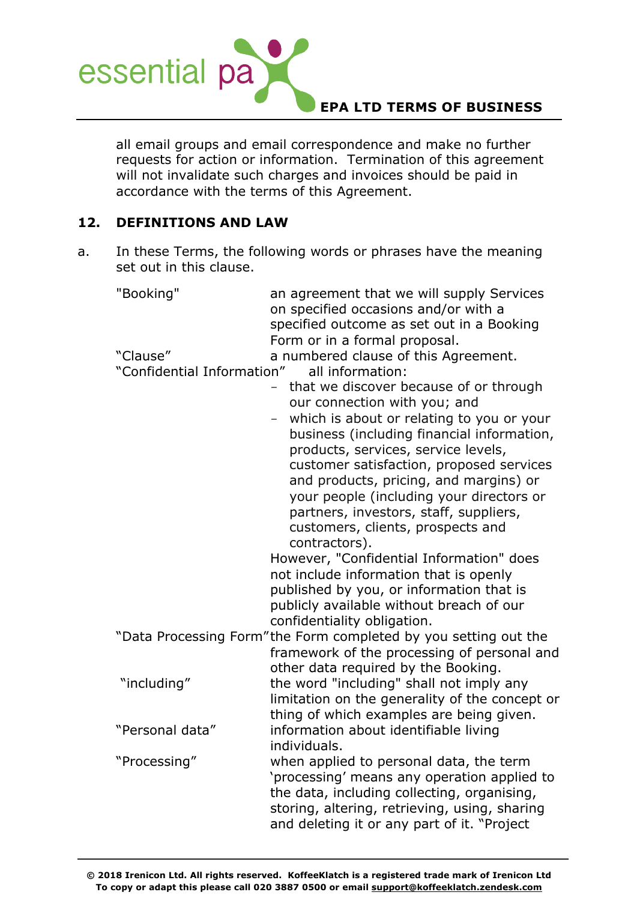

all email groups and email correspondence and make no further requests for action or information. Termination of this agreement will not invalidate such charges and invoices should be paid in accordance with the terms of this Agreement.

### **12. DEFINITIONS AND LAW**

a. In these Terms, the following words or phrases have the meaning set out in this clause.

| "Booking"                              | an agreement that we will supply Services<br>on specified occasions and/or with a<br>specified outcome as set out in a Booking<br>Form or in a formal proposal.                                                                                                                                                                                                                                                                                                                                                    |
|----------------------------------------|--------------------------------------------------------------------------------------------------------------------------------------------------------------------------------------------------------------------------------------------------------------------------------------------------------------------------------------------------------------------------------------------------------------------------------------------------------------------------------------------------------------------|
| "Clause"<br>"Confidential Information" | a numbered clause of this Agreement.<br>all information:<br>that we discover because of or through<br>$\equiv$<br>our connection with you; and<br>which is about or relating to you or your<br>business (including financial information,<br>products, services, service levels,<br>customer satisfaction, proposed services<br>and products, pricing, and margins) or<br>your people (including your directors or<br>partners, investors, staff, suppliers,<br>customers, clients, prospects and<br>contractors). |
|                                        | However, "Confidential Information" does<br>not include information that is openly                                                                                                                                                                                                                                                                                                                                                                                                                                 |
|                                        | published by you, or information that is<br>publicly available without breach of our<br>confidentiality obligation.                                                                                                                                                                                                                                                                                                                                                                                                |
|                                        | "Data Processing Form"the Form completed by you setting out the<br>framework of the processing of personal and<br>other data required by the Booking.                                                                                                                                                                                                                                                                                                                                                              |
| "including"                            | the word "including" shall not imply any<br>limitation on the generality of the concept or<br>thing of which examples are being given.                                                                                                                                                                                                                                                                                                                                                                             |
| "Personal data"                        | information about identifiable living<br>individuals.                                                                                                                                                                                                                                                                                                                                                                                                                                                              |
| "Processing"                           | when applied to personal data, the term<br>'processing' means any operation applied to<br>the data, including collecting, organising,<br>storing, altering, retrieving, using, sharing<br>and deleting it or any part of it. "Project                                                                                                                                                                                                                                                                              |

**© 2018 Irenicon Ltd. All rights reserved. KoffeeKlatch is a registered trade mark of Irenicon Ltd To copy or adapt this please call 020 3887 0500 or email support@koffeeklatch.zendesk.com**